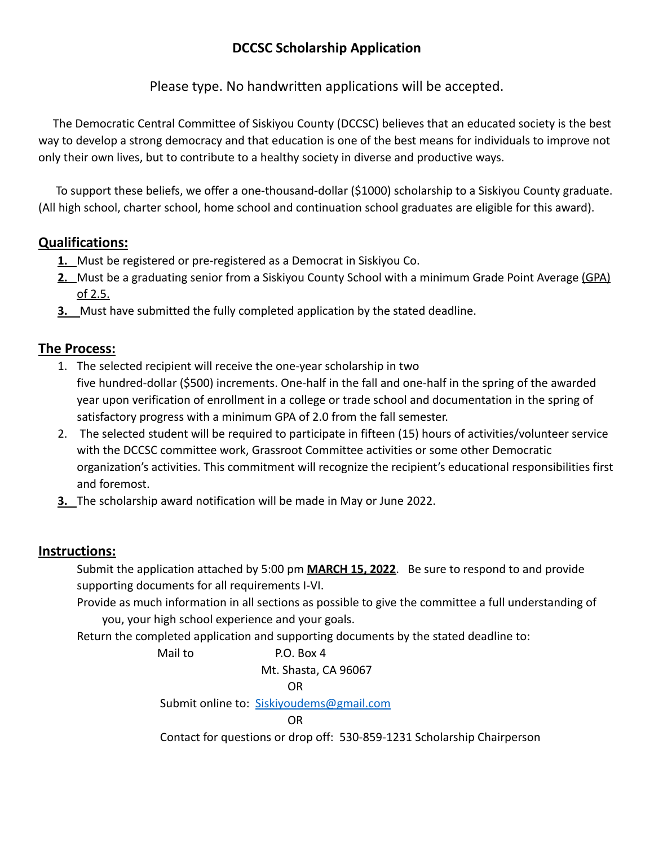# **DCCSC Scholarship Application**

Please type. No handwritten applications will be accepted.

The Democratic Central Committee of Siskiyou County (DCCSC) believes that an educated society is the best way to develop a strong democracy and that education is one of the best means for individuals to improve not only their own lives, but to contribute to a healthy society in diverse and productive ways.

To support these beliefs, we offer a one-thousand-dollar (\$1000) scholarship to a Siskiyou County graduate. (All high school, charter school, home school and continuation school graduates are eligible for this award).

## **Qualifications:**

- **1.** Must be registered or pre-registered as a Democrat in Siskiyou Co.
- **2.** Must be a graduating senior from a Siskiyou County School with a minimum Grade Point Average (GPA) of 2.5.
- **3.** Must have submitted the fully completed application by the stated deadline.

## **The Process:**

- 1. The selected recipient will receive the one-year scholarship in two five hundred-dollar (\$500) increments. One-half in the fall and one-half in the spring of the awarded year upon verification of enrollment in a college or trade school and documentation in the spring of satisfactory progress with a minimum GPA of 2.0 from the fall semester.
- 2. The selected student will be required to participate in fifteen (15) hours of activities/volunteer service with the DCCSC committee work, Grassroot Committee activities or some other Democratic organization's activities. This commitment will recognize the recipient's educational responsibilities first and foremost.
- **3.** The scholarship award notification will be made in May or June 2022.

### **Instructions:**

Submit the application attached by 5:00 pm **MARCH 15, 2022**. Be sure to respond to and provide supporting documents for all requirements I-VI.

Provide as much information in all sections as possible to give the committee a full understanding of you, your high school experience and your goals.

Return the completed application and supporting documents by the stated deadline to:

Mail to **P.O. Box 4** Mt. Shasta, CA 96067 OR Submit online to: [Siskiyoudems@gmail.com](mailto:Siskiyoudems@gmail.com) OR Contact for questions or drop off: 530-859-1231 Scholarship Chairperson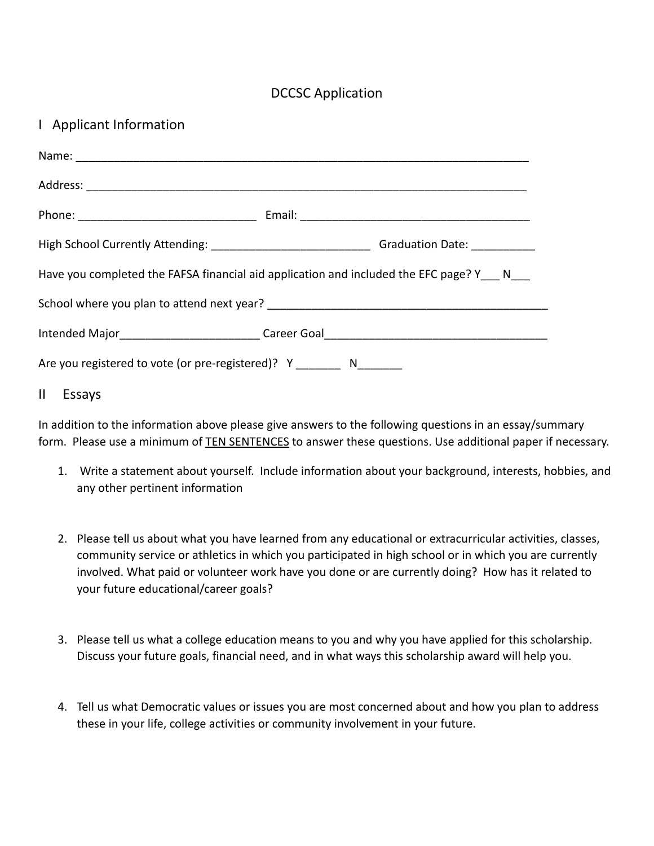### DCCSC Application

### I Applicant Information

| Have you completed the FAFSA financial aid application and included the EFC page? Y N |                                                                                   |  |  |
|---------------------------------------------------------------------------------------|-----------------------------------------------------------------------------------|--|--|
|                                                                                       |                                                                                   |  |  |
|                                                                                       | Intended Major__________________________Career Goal______________________________ |  |  |
| Are you registered to vote (or pre-registered)? Y N                                   |                                                                                   |  |  |

#### II Essays

In addition to the information above please give answers to the following questions in an essay/summary form. Please use a minimum of **TEN SENTENCES** to answer these questions. Use additional paper if necessary.

- 1. Write a statement about yourself. Include information about your background, interests, hobbies, and any other pertinent information
- 2. Please tell us about what you have learned from any educational or extracurricular activities, classes, community service or athletics in which you participated in high school or in which you are currently involved. What paid or volunteer work have you done or are currently doing? How has it related to your future educational/career goals?
- 3. Please tell us what a college education means to you and why you have applied for this scholarship. Discuss your future goals, financial need, and in what ways this scholarship award will help you.
- 4. Tell us what Democratic values or issues you are most concerned about and how you plan to address these in your life, college activities or community involvement in your future.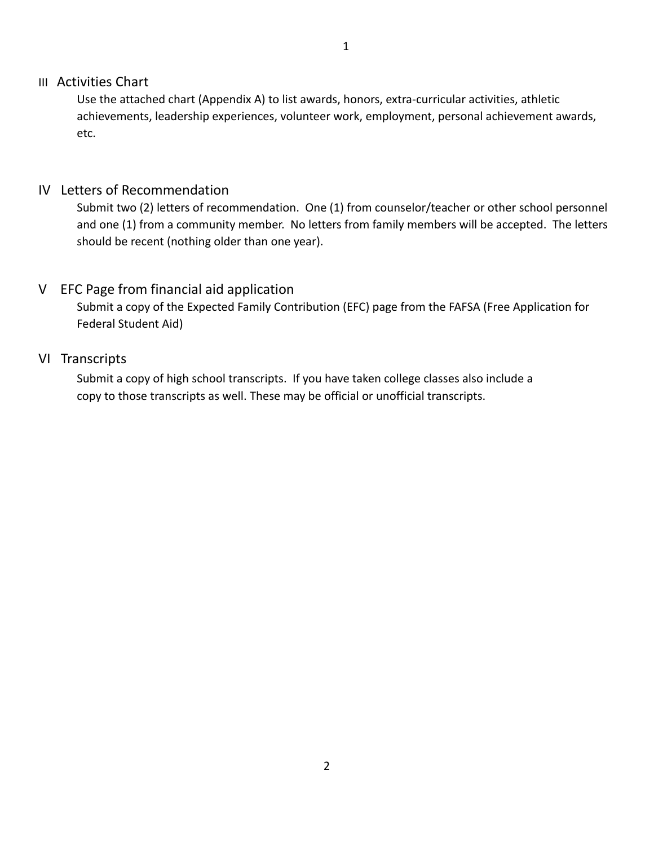#### III Activities Chart

Use the attached chart (Appendix A) to list awards, honors, extra-curricular activities, athletic achievements, leadership experiences, volunteer work, employment, personal achievement awards, etc.

#### IV Letters of Recommendation

Submit two (2) letters of recommendation. One (1) from counselor/teacher or other school personnel and one (1) from a community member. No letters from family members will be accepted. The letters should be recent (nothing older than one year).

#### V EFC Page from financial aid application

Submit a copy of the Expected Family Contribution (EFC) page from the FAFSA (Free Application for Federal Student Aid)

#### VI Transcripts

Submit a copy of high school transcripts. If you have taken college classes also include a copy to those transcripts as well. These may be official or unofficial transcripts.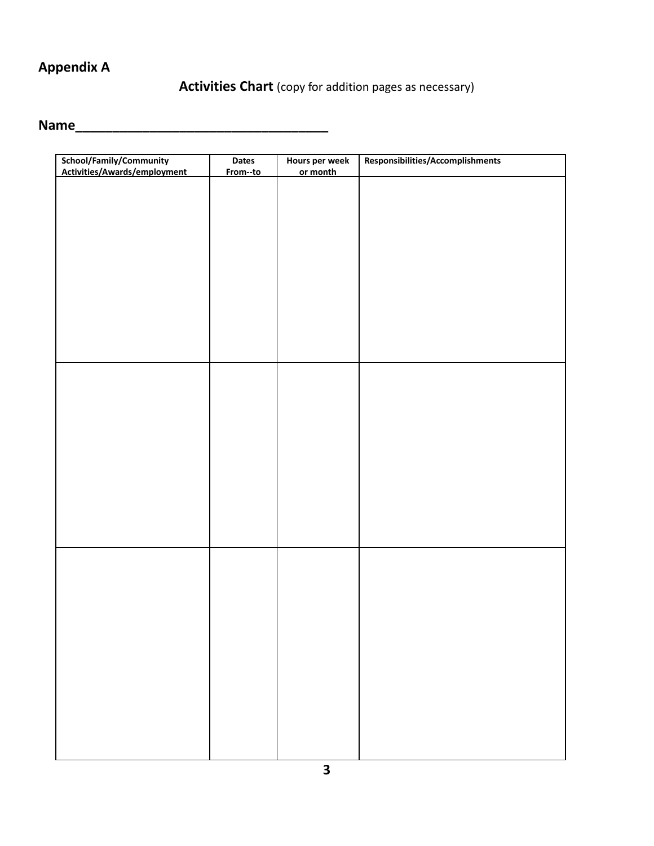# **Appendix A**

# **Activities Chart** (copy for addition pages as necessary)

# **Name\_\_\_\_\_\_\_\_\_\_\_\_\_\_\_\_\_\_\_\_\_\_\_\_\_\_\_\_\_\_\_\_\_\_**

| School/Family/Community      | Dates    | Hours per week | Responsibilities/Accomplishments |
|------------------------------|----------|----------------|----------------------------------|
| Activities/Awards/employment | From--to | or month       |                                  |
|                              |          |                |                                  |
|                              |          |                |                                  |
|                              |          |                |                                  |
|                              |          |                |                                  |
|                              |          |                |                                  |
|                              |          |                |                                  |
|                              |          |                |                                  |
|                              |          |                |                                  |
|                              |          |                |                                  |
|                              |          |                |                                  |
|                              |          |                |                                  |
|                              |          |                |                                  |
|                              |          |                |                                  |
|                              |          |                |                                  |
|                              |          |                |                                  |
|                              |          |                |                                  |
|                              |          |                |                                  |
|                              |          |                |                                  |
|                              |          |                |                                  |
|                              |          |                |                                  |
|                              |          |                |                                  |
|                              |          |                |                                  |
|                              |          |                |                                  |
|                              |          |                |                                  |
|                              |          |                |                                  |
|                              |          |                |                                  |
|                              |          |                |                                  |
|                              |          |                |                                  |
|                              |          |                |                                  |
|                              |          |                |                                  |
|                              |          |                |                                  |
|                              |          |                |                                  |
|                              |          |                |                                  |
|                              |          |                |                                  |
|                              |          |                |                                  |
|                              |          |                |                                  |
|                              |          |                |                                  |
|                              |          |                |                                  |
|                              |          |                |                                  |
|                              |          |                |                                  |
|                              |          |                |                                  |
|                              |          |                |                                  |
|                              |          |                |                                  |
|                              |          |                |                                  |
|                              |          |                |                                  |
|                              |          |                |                                  |
|                              |          |                |                                  |